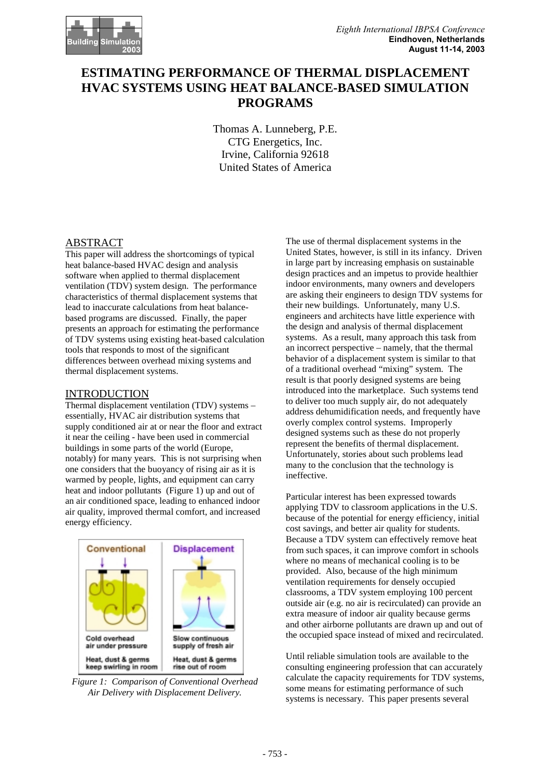# **ESTIMATING PERFORMANCE OF THERMAL DISPLACEMENT HVAC SYSTEMS USING HEAT BALANCE-BASED SIMULATION PROGRAMS**

Thomas A. Lunneberg, P.E. CTG Energetics, Inc. Irvine, California 92618 United States of America

### ABSTRACT

This paper will address the shortcomings of typical heat balance-based HVAC design and analysis software when applied to thermal displacement ventilation (TDV) system design. The performance characteristics of thermal displacement systems that lead to inaccurate calculations from heat balancebased programs are discussed. Finally, the paper presents an approach for estimating the performance of TDV systems using existing heat-based calculation tools that responds to most of the significant differences between overhead mixing systems and thermal displacement systems.

#### INTRODUCTION

Thermal displacement ventilation (TDV) systems – essentially, HVAC air distribution systems that supply conditioned air at or near the floor and extract it near the ceiling - have been used in commercial buildings in some parts of the world (Europe, notably) for many years. This is not surprising when one considers that the buoyancy of rising air as it is warmed by people, lights, and equipment can carry heat and indoor pollutants (Figure 1) up and out of an air conditioned space, leading to enhanced indoor air quality, improved thermal comfort, and increased energy efficiency.



*Figure 1: Comparison of Conventional Overhead Air Delivery with Displacement Delivery.*

The use of thermal displacement systems in the United States, however, is still in its infancy. Driven in large part by increasing emphasis on sustainable design practices and an impetus to provide healthier indoor environments, many owners and developers are asking their engineers to design TDV systems for their new buildings. Unfortunately, many U.S. engineers and architects have little experience with the design and analysis of thermal displacement systems. As a result, many approach this task from an incorrect perspective – namely, that the thermal behavior of a displacement system is similar to that of a traditional overhead "mixing" system. The result is that poorly designed systems are being introduced into the marketplace. Such systems tend to deliver too much supply air, do not adequately address dehumidification needs, and frequently have overly complex control systems. Improperly designed systems such as these do not properly represent the benefits of thermal displacement. Unfortunately, stories about such problems lead many to the conclusion that the technology is ineffective.

Particular interest has been expressed towards applying TDV to classroom applications in the U.S. because of the potential for energy efficiency, initial cost savings, and better air quality for students. Because a TDV system can effectively remove heat from such spaces, it can improve comfort in schools where no means of mechanical cooling is to be provided. Also, because of the high minimum ventilation requirements for densely occupied classrooms, a TDV system employing 100 percent outside air (e.g. no air is recirculated) can provide an extra measure of indoor air quality because germs and other airborne pollutants are drawn up and out of the occupied space instead of mixed and recirculated.

Until reliable simulation tools are available to the consulting engineering profession that can accurately calculate the capacity requirements for TDV systems, some means for estimating performance of such systems is necessary. This paper presents several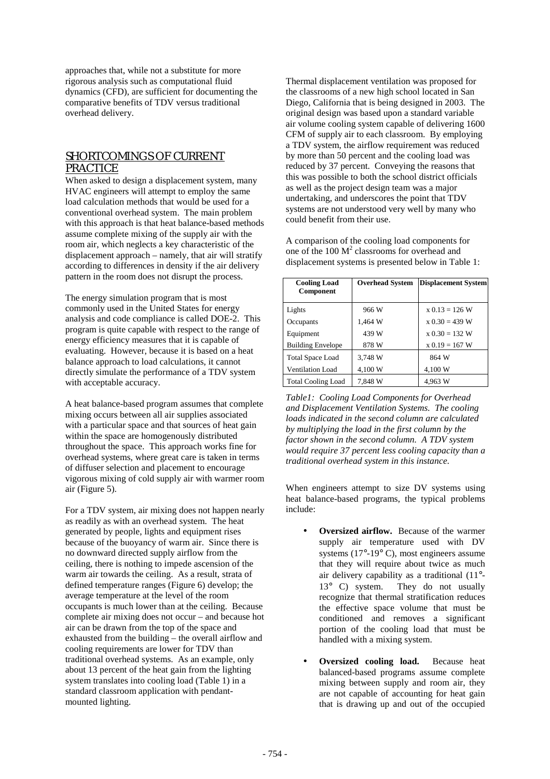approaches that, while not a substitute for more rigorous analysis such as computational fluid dynamics (CFD), are sufficient for documenting the comparative benefits of TDV versus traditional overhead delivery.

# SHORTCOMINGS OF CURRENT PRACTICE

When asked to design a displacement system, many HVAC engineers will attempt to employ the same load calculation methods that would be used for a conventional overhead system. The main problem with this approach is that heat balance-based methods assume complete mixing of the supply air with the room air, which neglects a key characteristic of the displacement approach – namely, that air will stratify according to differences in density if the air delivery pattern in the room does not disrupt the process.

The energy simulation program that is most commonly used in the United States for energy analysis and code compliance is called DOE-2. This program is quite capable with respect to the range of energy efficiency measures that it is capable of evaluating. However, because it is based on a heat balance approach to load calculations, it cannot directly simulate the performance of a TDV system with acceptable accuracy.

A heat balance-based program assumes that complete mixing occurs between all air supplies associated with a particular space and that sources of heat gain within the space are homogenously distributed throughout the space. This approach works fine for overhead systems, where great care is taken in terms of diffuser selection and placement to encourage vigorous mixing of cold supply air with warmer room air (Figure 5).

For a TDV system, air mixing does not happen nearly as readily as with an overhead system. The heat generated by people, lights and equipment rises because of the buoyancy of warm air. Since there is no downward directed supply airflow from the ceiling, there is nothing to impede ascension of the warm air towards the ceiling. As a result, strata of defined temperature ranges (Figure 6) develop; the average temperature at the level of the room occupants is much lower than at the ceiling. Because complete air mixing does not occur – and because hot air can be drawn from the top of the space and exhausted from the building – the overall airflow and cooling requirements are lower for TDV than traditional overhead systems. As an example, only about 13 percent of the heat gain from the lighting system translates into cooling load (Table 1) in a standard classroom application with pendantmounted lighting.

Thermal displacement ventilation was proposed for the classrooms of a new high school located in San Diego, California that is being designed in 2003. The original design was based upon a standard variable air volume cooling system capable of delivering 1600 CFM of supply air to each classroom. By employing a TDV system, the airflow requirement was reduced by more than 50 percent and the cooling load was reduced by 37 percent. Conveying the reasons that this was possible to both the school district officials as well as the project design team was a major undertaking, and underscores the point that TDV systems are not understood very well by many who could benefit from their use.

A comparison of the cooling load components for one of the  $100 \text{ M}^2$  classrooms for overhead and displacement systems is presented below in Table 1:

| <b>Cooling Load</b><br>Component | <b>Overhead System</b> | <b>Displacement System</b> |
|----------------------------------|------------------------|----------------------------|
| Lights                           | 966 W                  | $x 0.13 = 126$ W           |
| Occupants                        | 1,464 W                | $x 0.30 = 439 W$           |
| Equipment                        | 439 W                  | $x 0.30 = 132 W$           |
| <b>Building Envelope</b>         | 878 W                  | $x 0.19 = 167$ W           |
| <b>Total Space Load</b>          | 3.748 W                | 864 W                      |
| <b>Ventilation Load</b>          | 4,100 W                | 4,100 W                    |
| <b>Total Cooling Load</b>        | 7,848 W                | 4.963 W                    |

*Table1: Cooling Load Components for Overhead and Displacement Ventilation Systems. The cooling loads indicated in the second column are calculated by multiplying the load in the first column by the factor shown in the second column. A TDV system would require 37 percent less cooling capacity than a traditional overhead system in this instance.* 

When engineers attempt to size DV systems using heat balance-based programs, the typical problems include:

- **Oversized airflow.** Because of the warmer supply air temperature used with DV systems (17°-19° C), most engineers assume that they will require about twice as much air delivery capability as a traditional (11°- 13° C) system. They do not usually recognize that thermal stratification reduces the effective space volume that must be conditioned and removes a significant portion of the cooling load that must be handled with a mixing system.
- **Oversized cooling load.** Because heat balanced-based programs assume complete mixing between supply and room air, they are not capable of accounting for heat gain that is drawing up and out of the occupied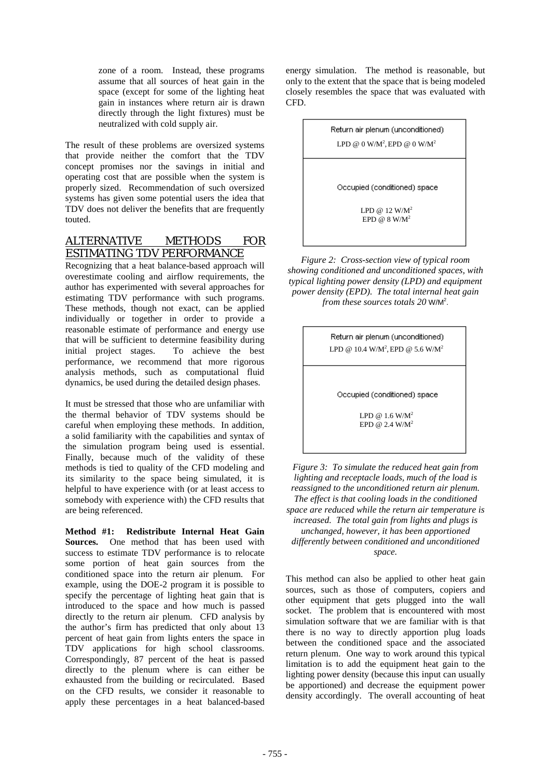zone of a room. Instead, these programs assume that all sources of heat gain in the space (except for some of the lighting heat gain in instances where return air is drawn directly through the light fixtures) must be neutralized with cold supply air.

The result of these problems are oversized systems that provide neither the comfort that the TDV concept promises nor the savings in initial and operating cost that are possible when the system is properly sized. Recommendation of such oversized systems has given some potential users the idea that TDV does not deliver the benefits that are frequently touted.

# ALTERNATIVE METHODS FOR ESTIMATING TDV PERFORMANCE

Recognizing that a heat balance-based approach will overestimate cooling and airflow requirements, the author has experimented with several approaches for estimating TDV performance with such programs. These methods, though not exact, can be applied individually or together in order to provide a reasonable estimate of performance and energy use that will be sufficient to determine feasibility during initial project stages. To achieve the best performance, we recommend that more rigorous analysis methods, such as computational fluid dynamics, be used during the detailed design phases.

It must be stressed that those who are unfamiliar with the thermal behavior of TDV systems should be careful when employing these methods. In addition, a solid familiarity with the capabilities and syntax of the simulation program being used is essential. Finally, because much of the validity of these methods is tied to quality of the CFD modeling and its similarity to the space being simulated, it is helpful to have experience with (or at least access to somebody with experience with) the CFD results that are being referenced.

**Method #1: Redistribute Internal Heat Gain Sources.** One method that has been used with success to estimate TDV performance is to relocate some portion of heat gain sources from the conditioned space into the return air plenum. For example, using the DOE-2 program it is possible to specify the percentage of lighting heat gain that is introduced to the space and how much is passed directly to the return air plenum. CFD analysis by the author's firm has predicted that only about 13 percent of heat gain from lights enters the space in TDV applications for high school classrooms. Correspondingly, 87 percent of the heat is passed directly to the plenum where is can either be exhausted from the building or recirculated. Based on the CFD results, we consider it reasonable to apply these percentages in a heat balanced-based

energy simulation. The method is reasonable, but only to the extent that the space that is being modeled closely resembles the space that was evaluated with CFD.

> Return air plenum (unconditioned) LPD @ 0 W/M<sup>2</sup>, EPD @ 0 W/M<sup>2</sup>

Occupied (conditioned) space

LPD @ 12  $W/M^2$  $EPD$  @ 8 W/M<sup>2</sup>

*Figure 2: Cross-section view of typical room showing conditioned and unconditioned spaces, with typical lighting power density (LPD) and equipment power density (EPD). The total internal heat gain*  from these sources totals 20 W/M<sup>2</sup>.

> Return air plenum (unconditioned) LPD @  $10.4 \text{ W/M}^2$ , EPD @  $5.6 \text{ W/M}^2$

Occupied (conditioned) space

LPD @  $1.6$  W/M<sup>2</sup> EPD @  $2.4$  W/M<sup>2</sup>

*Figure 3: To simulate the reduced heat gain from lighting and receptacle loads, much of the load is reassigned to the unconditioned return air plenum. The effect is that cooling loads in the conditioned space are reduced while the return air temperature is increased. The total gain from lights and plugs is unchanged, however, it has been apportioned differently between conditioned and unconditioned space.* 

This method can also be applied to other heat gain sources, such as those of computers, copiers and other equipment that gets plugged into the wall socket. The problem that is encountered with most simulation software that we are familiar with is that there is no way to directly apportion plug loads between the conditioned space and the associated return plenum. One way to work around this typical limitation is to add the equipment heat gain to the lighting power density (because this input can usually be apportioned) and decrease the equipment power density accordingly. The overall accounting of heat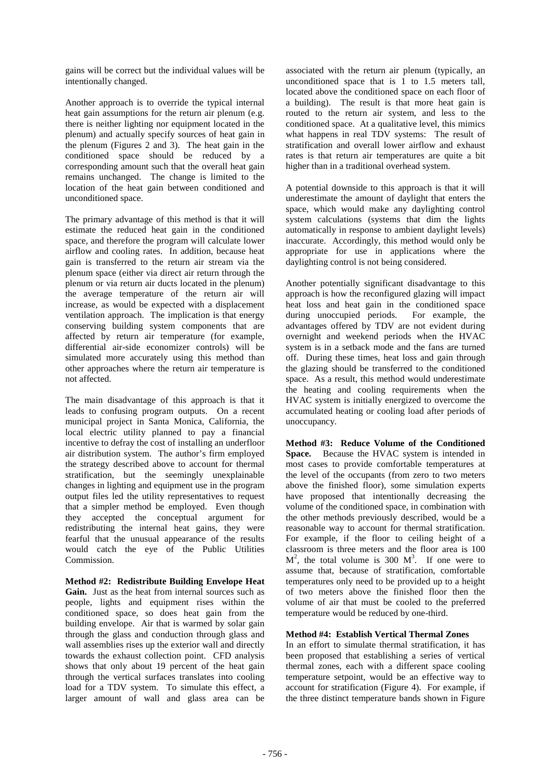gains will be correct but the individual values will be intentionally changed.

Another approach is to override the typical internal heat gain assumptions for the return air plenum (e.g. there is neither lighting nor equipment located in the plenum) and actually specify sources of heat gain in the plenum (Figures 2 and 3). The heat gain in the conditioned space should be reduced by a corresponding amount such that the overall heat gain remains unchanged. The change is limited to the location of the heat gain between conditioned and unconditioned space.

The primary advantage of this method is that it will estimate the reduced heat gain in the conditioned space, and therefore the program will calculate lower airflow and cooling rates. In addition, because heat gain is transferred to the return air stream via the plenum space (either via direct air return through the plenum or via return air ducts located in the plenum) the average temperature of the return air will increase, as would be expected with a displacement ventilation approach. The implication is that energy conserving building system components that are affected by return air temperature (for example, differential air-side economizer controls) will be simulated more accurately using this method than other approaches where the return air temperature is not affected.

The main disadvantage of this approach is that it leads to confusing program outputs. On a recent municipal project in Santa Monica, California, the local electric utility planned to pay a financial incentive to defray the cost of installing an underfloor air distribution system. The author's firm employed the strategy described above to account for thermal stratification, but the seemingly unexplainable changes in lighting and equipment use in the program output files led the utility representatives to request that a simpler method be employed. Even though they accepted the conceptual argument for redistributing the internal heat gains, they were fearful that the unusual appearance of the results would catch the eye of the Public Utilities Commission.

**Method #2: Redistribute Building Envelope Heat**  Gain. Just as the heat from internal sources such as people, lights and equipment rises within the conditioned space, so does heat gain from the building envelope. Air that is warmed by solar gain through the glass and conduction through glass and wall assemblies rises up the exterior wall and directly towards the exhaust collection point. CFD analysis shows that only about 19 percent of the heat gain through the vertical surfaces translates into cooling load for a TDV system. To simulate this effect, a larger amount of wall and glass area can be associated with the return air plenum (typically, an unconditioned space that is 1 to 1.5 meters tall, located above the conditioned space on each floor of a building). The result is that more heat gain is routed to the return air system, and less to the conditioned space. At a qualitative level, this mimics what happens in real TDV systems: The result of stratification and overall lower airflow and exhaust rates is that return air temperatures are quite a bit higher than in a traditional overhead system.

A potential downside to this approach is that it will underestimate the amount of daylight that enters the space, which would make any daylighting control system calculations (systems that dim the lights automatically in response to ambient daylight levels) inaccurate. Accordingly, this method would only be appropriate for use in applications where the daylighting control is not being considered.

Another potentially significant disadvantage to this approach is how the reconfigured glazing will impact heat loss and heat gain in the conditioned space during unoccupied periods. For example, the advantages offered by TDV are not evident during overnight and weekend periods when the HVAC system is in a setback mode and the fans are turned off. During these times, heat loss and gain through the glazing should be transferred to the conditioned space. As a result, this method would underestimate the heating and cooling requirements when the HVAC system is initially energized to overcome the accumulated heating or cooling load after periods of unoccupancy.

**Method #3: Reduce Volume of the Conditioned Space.** Because the HVAC system is intended in most cases to provide comfortable temperatures at the level of the occupants (from zero to two meters above the finished floor), some simulation experts have proposed that intentionally decreasing the volume of the conditioned space, in combination with the other methods previously described, would be a reasonable way to account for thermal stratification. For example, if the floor to ceiling height of a classroom is three meters and the floor area is 100  $M^2$ , the total volume is 300  $M^3$ . If one were to assume that, because of stratification, comfortable temperatures only need to be provided up to a height of two meters above the finished floor then the volume of air that must be cooled to the preferred temperature would be reduced by one-third.

#### **Method #4: Establish Vertical Thermal Zones**

In an effort to simulate thermal stratification, it has been proposed that establishing a series of vertical thermal zones, each with a different space cooling temperature setpoint, would be an effective way to account for stratification (Figure 4). For example, if the three distinct temperature bands shown in Figure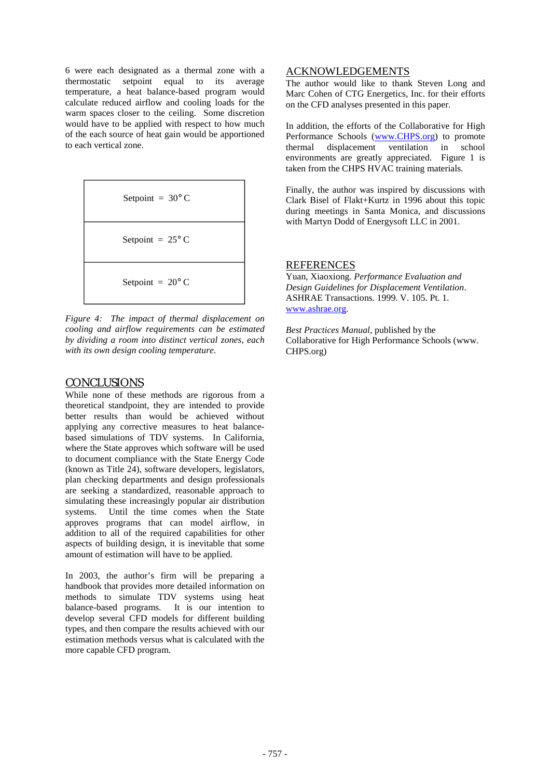6 were each designated as a thermal zone with a thermostatic setpoint equal to its average temperature, a heat balance-based program would calculate reduced airflow and cooling loads for the warm spaces closer to the ceiling. Some discretion would have to be applied with respect to how much of the each source of heat gain would be apportioned to each vertical zone.

Setpoint = 
$$
30^{\circ}
$$
 C

\nSetpoint =  $25^{\circ}$  C

\nSetpoint =  $20^{\circ}$  C

*Figure 4: The impact of thermal displacement on cooling and airflow requirements can be estimated by dividing a room into distinct vertical zones, each with its own design cooling temperature.* 

### **CONCLUSIONS**

While none of these methods are rigorous from a theoretical standpoint, they are intended to provide better results than would be achieved without applying any corrective measures to heat balancebased simulations of TDV systems. In California, where the State approves which software will be used to document compliance with the State Energy Code (known as Title 24), software developers, legislators, plan checking departments and design professionals are seeking a standardized, reasonable approach to simulating these increasingly popular air distribution systems. Until the time comes when the State approves programs that can model airflow, in addition to all of the required capabilities for other aspects of building design, it is inevitable that some amount of estimation will have to be applied.

In 2003, the author's firm will be preparing a handbook that provides more detailed information on methods to simulate TDV systems using heat balance-based programs. It is our intention to develop several CFD models for different building types, and then compare the results achieved with our estimation methods versus what is calculated with the more capable CFD program.

#### ACKNOWLEDGEMENTS

The author would like to thank Steven Long and Marc Cohen of CTG Energetics, Inc. for their efforts on the CFD analyses presented in this paper.

In addition, the efforts of the Collaborative for High Performance Schools (www.CHPS.org) to promote thermal displacement ventilation in school environments are greatly appreciated. Figure 1 is taken from the CHPS HVAC training materials.

Finally, the author was inspired by discussions with Clark Bisel of Flakt+Kurtz in 1996 about this topic during meetings in Santa Monica, and discussions with Martyn Dodd of Energysoft LLC in 2001.

#### REFERENCES

Yuan, Xiaoxiong. *Performance Evaluation and Design Guidelines for Displacement Ventilation*. ASHRAE Transactions. 1999. V. 105. Pt. 1. www.ashrae.org.

*Best Practices Manual*, published by the Collaborative for High Performance Schools (www. CHPS.org)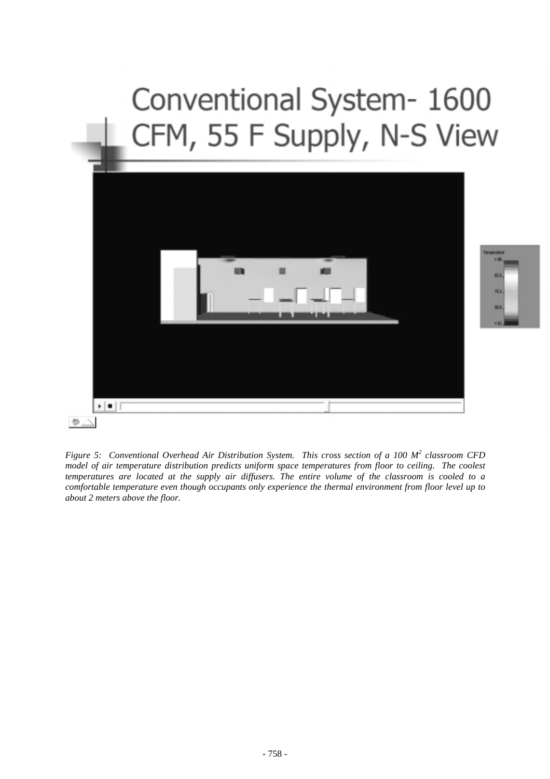# Conventional System- 1600 CFM, 55 F Supply, N-S View



78.5 **ISLE** 

*Figure 5: Conventional Overhead Air Distribution System. This cross section of a 100 M<sup>2</sup> classroom CFD model of air temperature distribution predicts uniform space temperatures from floor to ceiling. The coolest temperatures are located at the supply air diffusers. The entire volume of the classroom is cooled to a comfortable temperature even though occupants only experience the thermal environment from floor level up to about 2 meters above the floor.*